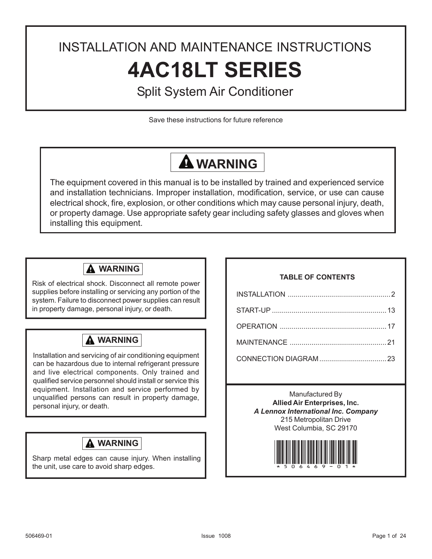# INSTALLATION AND MAINTENANCE INSTRUCTIONS **4AC18LT SERIES**

## Split System Air Conditioner

Save these instructions for future reference

## **WARNING**

The equipment covered in this manual is to be installed by trained and experienced service and installation technicians. Improper installation, modification, service, or use can cause electrical shock, fire, explosion, or other conditions which may cause personal injury, death, or property damage. Use appropriate safety gear including safety glasses and gloves when installing this equipment.

### **WARNING**

Risk of electrical shock. Disconnect all remote power supplies before installing or servicing any portion of the system. Failure to disconnect power supplies can result in property damage, personal injury, or death.

### **WARNING**

Installation and servicing of air conditioning equipment can be hazardous due to internal refrigerant pressure and live electrical components. Only trained and qualified service personnel should install or service this equipment. Installation and service performed by unqualified persons can result in property damage, personal injury, or death.

### **WARNING**

Sharp metal edges can cause injury. When installing the unit, use care to avoid sharp edges.

#### **TABLE OF CONTENTS**

Manufactured By **Allied Air Enterprises, Inc.** *A Lennox International Inc. Company* 215 Metropolitan Drive West Columbia, SC 29170

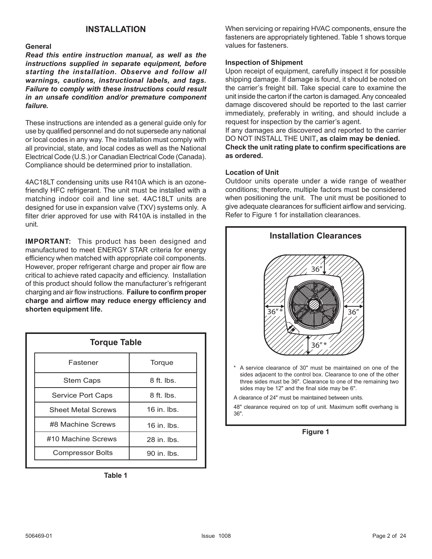#### **General**

*Read this entire instruction manual, as well as the instructions supplied in separate equipment, before starting the installation. Observe and follow all warnings, cautions, instructional labels, and tags. Failure to comply with these instructions could result in an unsafe condition and/or premature component failure.*

These instructions are intended as a general guide only for use by qualified personnel and do not supersede any national or local codes in any way. The installation must comply with all provincial, state, and local codes as well as the National Electrical Code (U.S.) or Canadian Electrical Code (Canada). Compliance should be determined prior to installation.

4AC18LT condensing units use R410A which is an ozonefriendly HFC refrigerant. The unit must be installed with a matching indoor coil and line set. 4AC18LT units are designed for use in expansion valve (TXV) systems only. A filter drier approved for use with R410A is installed in the unit.

**IMPORTANT:** This product has been designed and manufactured to meet ENERGY STAR criteria for energy efficiency when matched with appropriate coil components. However, proper refrigerant charge and proper air flow are critical to achieve rated capacity and efficiency. Installation of this product should follow the manufacturer's refrigerant charging and air flow instructions. **Failure to confirm proper charge and airflow may reduce energy efficiency and shorten equipment life.**

| <b>Torque Table</b>       |                    |  |  |  |  |  |
|---------------------------|--------------------|--|--|--|--|--|
| Fastener                  | Torque             |  |  |  |  |  |
| <b>Stem Caps</b>          | 8 ft. lbs.         |  |  |  |  |  |
| Service Port Caps         | $8$ ft. lbs.       |  |  |  |  |  |
| <b>Sheet Metal Screws</b> | $16$ in $\mu$ lbs. |  |  |  |  |  |
| #8 Machine Screws         | $16$ in $\mu$ lbs. |  |  |  |  |  |
| #10 Machine Screws        | 28 in lbs.         |  |  |  |  |  |
| <b>Compressor Bolts</b>   | $90$ in $\mu$ lbs. |  |  |  |  |  |

**Table 1**

**INSTALLATION** When servicing or repairing HVAC components, ensure the fasteners are appropriately tightened. Table 1 shows torque values for fasteners.

#### **Inspection of Shipment**

Upon receipt of equipment, carefully inspect it for possible shipping damage. If damage is found, it should be noted on the carrier's freight bill. Take special care to examine the unit inside the carton if the carton is damaged. Any concealed damage discovered should be reported to the last carrier immediately, preferably in writing, and should include a request for inspection by the carrier's agent.

If any damages are discovered and reported to the carrier DO NOT INSTALL THE UNIT**, as claim may be denied. Check the unit rating plate to confirm specifications are as ordered.**

#### **Location of Unit**

Outdoor units operate under a wide range of weather conditions; therefore, multiple factors must be considered when positioning the unit. The unit must be positioned to give adequate clearances for sufficient airflow and servicing. Refer to Figure 1 for installation clearances.

| <b>Installation Clearances</b>                                                                                                                                                                                                                           |
|----------------------------------------------------------------------------------------------------------------------------------------------------------------------------------------------------------------------------------------------------------|
| 36'<br>$36''*$<br>36''<br>$36''*$                                                                                                                                                                                                                        |
| *<br>A service clearance of 30" must be maintained on one of the<br>sides adjacent to the control box. Clearance to one of the other<br>three sides must be 36". Clearance to one of the remaining two<br>sides may be 12" and the final side may be 6". |
| A clearance of 24" must be maintained between units.                                                                                                                                                                                                     |
| 48" clearance required on top of unit. Maximum soffit overhang is<br>$36"$ .                                                                                                                                                                             |
|                                                                                                                                                                                                                                                          |

**Figure 1**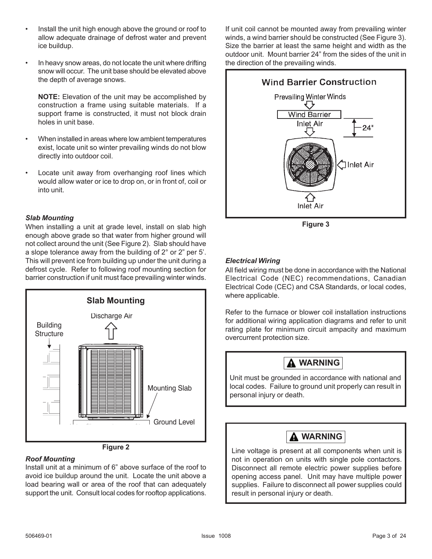- Install the unit high enough above the ground or roof to allow adequate drainage of defrost water and prevent ice buildup.
- In heavy snow areas, do not locate the unit where drifting snow will occur. The unit base should be elevated above the depth of average snows.

**NOTE:** Elevation of the unit may be accomplished by construction a frame using suitable materials. If a support frame is constructed, it must not block drain holes in unit base.

- When installed in areas where low ambient temperatures exist, locate unit so winter prevailing winds do not blow directly into outdoor coil.
- Locate unit away from overhanging roof lines which would allow water or ice to drop on, or in front of, coil or into unit.

#### *Slab Mounting*

When installing a unit at grade level, install on slab high enough above grade so that water from higher ground will not collect around the unit (See Figure 2). Slab should have a slope tolerance away from the building of 2° or 2" per 5'. This will prevent ice from building up under the unit during a defrost cycle. Refer to following roof mounting section for barrier construction if unit must face prevailing winter winds.



### *Roof Mounting*

Install unit at a minimum of 6" above surface of the roof to avoid ice buildup around the unit. Locate the unit above a load bearing wall or area of the roof that can adequately support the unit. Consult local codes for rooftop applications. If unit coil cannot be mounted away from prevailing winter winds, a wind barrier should be constructed (See Figure 3). Size the barrier at least the same height and width as the outdoor unit. Mount barrier 24" from the sides of the unit in the direction of the prevailing winds.



#### *Electrical Wiring*

All field wiring must be done in accordance with the National Electrical Code (NEC) recommendations, Canadian Electrical Code (CEC) and CSA Standards, or local codes, where applicable.

Refer to the furnace or blower coil installation instructions for additional wiring application diagrams and refer to unit rating plate for minimum circuit ampacity and maximum overcurrent protection size.



### **WARNING**

Line voltage is present at all components when unit is not in operation on units with single pole contactors. Disconnect all remote electric power supplies before opening access panel. Unit may have multiple power supplies. Failure to disconnect all power supplies could result in personal injury or death.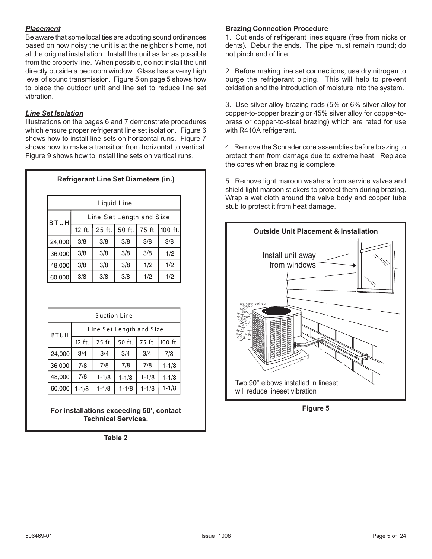#### *Placement*

Be aware that some localities are adopting sound ordinances based on how noisy the unit is at the neighbor's home, not at the original installation. Install the unit as far as possible from the property line. When possible, do not install the unit directly outside a bedroom window. Glass has a verry high level of sound transmission. Figure 5 on page 5 shows how to place the outdoor unit and line set to reduce line set vibration.

#### *Line Set Isolation*

Illustrations on the pages 6 and 7 demonstrate procedures which ensure proper refrigerant line set isolation. Figure 6 shows how to install line sets on horizontal runs. Figure 7 shows how to make a transition from horizontal to vertical. Figure 9 shows how to install line sets on vertical runs.

**Refrigerant Line Set Diameters (in.)**

| Liquid Line |                                                 |     |     |     |     |  |  |  |
|-------------|-------------------------------------------------|-----|-----|-----|-----|--|--|--|
| <b>BTUH</b> | Line Set Length and Size                        |     |     |     |     |  |  |  |
|             | 25 ft.<br>50 ft.<br>100 ft.<br>75 ft.<br>12 ft. |     |     |     |     |  |  |  |
| 24,000      | 3/8                                             | 3/8 | 3/8 | 3/8 | 3/8 |  |  |  |
| 36,000      | 3/8                                             | 3/8 | 3/8 | 3/8 | 1/2 |  |  |  |
| 48,000      | 3/8                                             | 3/8 | 3/8 | 1/2 | 1/2 |  |  |  |
| 60,000      | 3/8                                             | 3/8 | 3/8 | 1/2 | 1/2 |  |  |  |

| Suction Line                            |           |                                       |           |           |           |  |  |  |
|-----------------------------------------|-----------|---------------------------------------|-----------|-----------|-----------|--|--|--|
| Line Set Length and Size<br><b>BTUH</b> |           |                                       |           |           |           |  |  |  |
|                                         | 12 ft.    | 50 ft.<br>75 ft.<br>25 ft.<br>100 ft. |           |           |           |  |  |  |
| 24,000                                  | 3/4       | 3/4                                   | 3/4       | 3/4       | 7/8       |  |  |  |
| 36,000                                  | 7/8       | 7/8                                   | 7/8       | 7/8       | $1 - 1/8$ |  |  |  |
| 48,000                                  | 7/8       | $1 - 1/8$                             | $1 - 1/8$ | $1 - 1/8$ | $1 - 1/8$ |  |  |  |
| 60,000                                  | $1 - 1/8$ | $1 - 1/8$                             | $1 - 1/8$ | $1 - 1/8$ | $1 - 1/8$ |  |  |  |

**For installations exceeding 50', contact Technical Services.**

**Table 2**

#### **Brazing Connection Procedure**

1. Cut ends of refrigerant lines square (free from nicks or dents). Debur the ends. The pipe must remain round; do not pinch end of line.

2. Before making line set connections, use dry nitrogen to purge the refrigerant piping. This will help to prevent oxidation and the introduction of moisture into the system.

3. Use silver alloy brazing rods (5% or 6% silver alloy for copper-to-copper brazing or 45% silver alloy for copper-tobrass or copper-to-steel brazing) which are rated for use with R410A refrigerant.

4. Remove the Schrader core assemblies before brazing to protect them from damage due to extreme heat. Replace the cores when brazing is complete.

5. Remove light maroon washers from service valves and shield light maroon stickers to protect them during brazing. Wrap a wet cloth around the valve body and copper tube stub to protect it from heat damage.



**Figure 5**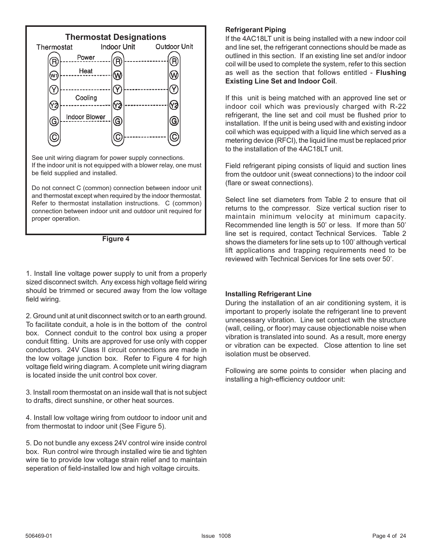

Do not connect C (common) connection between indoor unit and thermostat except when required by the indoor thermostat. Refer to thermostat installation instructions. C (common) connection between indoor unit and outdoor unit required for proper operation.



1. Install line voltage power supply to unit from a properly sized disconnect switch. Any excess high voltage field wiring should be trimmed or secured away from the low voltage field wiring.

2. Ground unit at unit disconnect switch or to an earth ground. To facilitate conduit, a hole is in the bottom of the control box. Connect conduit to the control box using a proper conduit fitting. Units are approved for use only with copper conductors. 24V Class II circuit connections are made in the low voltage junction box. Refer to Figure 4 for high voltage field wiring diagram. A complete unit wiring diagram is located inside the unit control box cover.

3. Install room thermostat on an inside wall that is not subject to drafts, direct sunshine, or other heat sources.

4. Install low voltage wiring from outdoor to indoor unit and from thermostat to indoor unit (See Figure 5).

5. Do not bundle any excess 24V control wire inside control box. Run control wire through installed wire tie and tighten wire tie to provide low voltage strain relief and to maintain seperation of field-installed low and high voltage circuits.

#### **Refrigerant Piping**

If the 4AC18LT unit is being installed with a new indoor coil and line set, the refrigerant connections should be made as outlined in this section. If an existing line set and/or indoor coil will be used to complete the system, refer to this section as well as the section that follows entitled - **Flushing Existing Line Set and Indoor Coil**.

If this unit is being matched with an approved line set or indoor coil which was previously charged with R-22 refrigerant, the line set and coil must be flushed prior to installation. If the unit is being used with and existing indoor coil which was equipped with a liquid line which served as a metering device (RFCI), the liquid line must be replaced prior to the installation of the 4AC18LT unit.

Field refrigerant piping consists of liquid and suction lines from the outdoor unit (sweat connections) to the indoor coil (flare or sweat connections).

Select line set diameters from Table 2 to ensure that oil returns to the compressor. Size vertical suction riser to maintain minimum velocity at minimum capacity. Recommended line length is 50' or less. If more than 50' line set is required, contact Technical Services. Table 2 shows the diameters for line sets up to 100' although vertical lift applications and trapping requirements need to be reviewed with Technical Services for line sets over 50'.

#### **Installing Refrigerant Line**

During the installation of an air conditioning system, it is important to properly isolate the refrigerant line to prevent unnecessary vibration. Line set contact with the structure (wall, ceiling, or floor) may cause objectionable noise when vibration is translated into sound. As a result, more energy or vibration can be expected. Close attention to line set isolation must be observed.

Following are some points to consider when placing and installing a high-efficiency outdoor unit: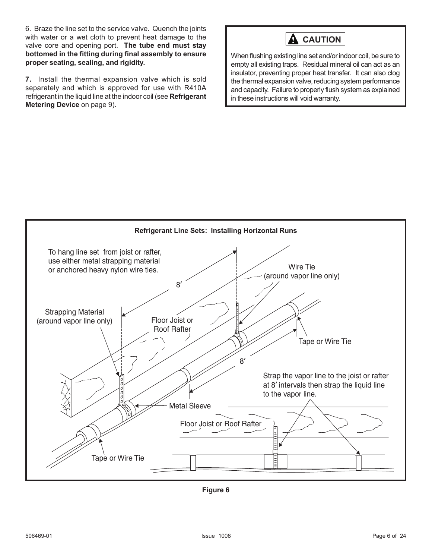6. Braze the line set to the service valve. Quench the joints with water or a wet cloth to prevent heat damage to the valve core and opening port. **The tube end must stay bottomed in the fitting during final assembly to ensure proper seating, sealing, and rigidity.**

**7.** Install the thermal expansion valve which is sold separately and which is approved for use with R410A refrigerant in the liquid line at the indoor coil (see **Refrigerant Metering Device** on page 9).



When flushing existing line set and/or indoor coil, be sure to empty all existing traps. Residual mineral oil can act as an insulator, preventing proper heat transfer. It can also clog the thermal expansion valve, reducing system performance and capacity. Failure to properly flush system as explained in these instructions will void warranty.



**Figure 6**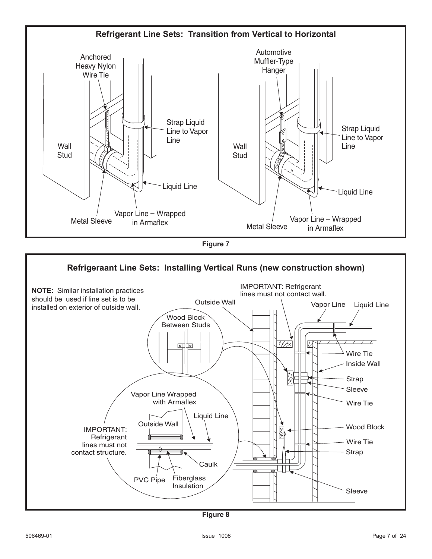

**Figure 7**



**Figure 8**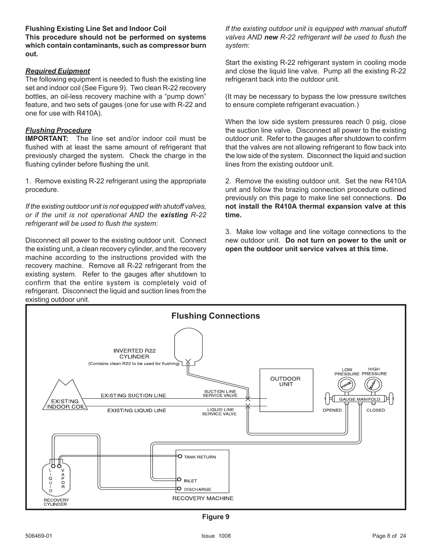**Flushing Existing Line Set and Indoor Coil This procedure should not be performed on systems which contain contaminants, such as compressor burn out.**

#### *Required Euipment*

The following equipment is needed to flush the existing line set and indoor coil (See Figure 9). Two clean R-22 recovery bottles, an oil-less recovery machine with a "pump down" feature, and two sets of gauges (one for use with R-22 and one for use with R410A).

#### *Flushing Procedure*

**IMPORTANT:** The line set and/or indoor coil must be flushed with at least the same amount of refrigerant that previously charged the system. Check the charge in the flushing cylinder before flushing the unit.

1. Remove existing R-22 refrigerant using the appropriate procedure.

*If the existing outdoor unit is not equipped with shutoff valves, or if the unit is not operational AND the existing R-22 refrigerant will be used to flush the system:*

Disconnect all power to the existing outdoor unit. Connect the existing unit, a clean recovery cylinder, and the recovery machine according to the instructions provided with the recovery machine. Remove all R-22 refrigerant from the existing system. Refer to the gauges after shutdown to confirm that the entire system is completely void of refrigerant. Disconnect the liquid and suction lines from the existing outdoor unit.

*If the existing outdoor unit is equipped with manual shutoff valves AND new R-22 refrigerant will be used to flush the system:*

Start the existing R-22 refrigerant system in cooling mode and close the liquid line valve. Pump all the existing R-22 refrigerant back into the outdoor unit.

(It may be necessary to bypass the low pressure switches to ensure complete refrigerant evacuation.)

When the low side system pressures reach 0 psig, close the suction line valve. Disconnect all power to the existing outdoor unit. Refer to the gauges after shutdown to confirm that the valves are not allowing refrigerant to flow back into the low side of the system. Disconnect the liquid and suction lines from the existing outdoor unit.

2. Remove the existing outdoor unit. Set the new R410A unit and follow the brazing connection procedure outlined previously on this page to make line set connections. **Do not install the R410A thermal expansion valve at this time.**

3. Make low voltage and line voltage connections to the new outdoor unit. **Do not turn on power to the unit or open the outdoor unit service valves at this time.**



**Figure 9**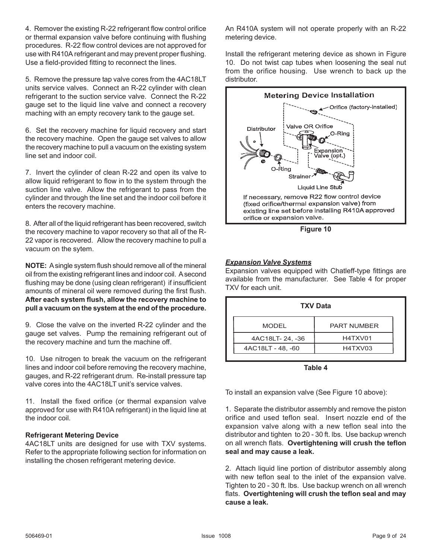4. Remover the existing R-22 refrigerant flow control orifice or thermal expansion valve before continuing with flushing procedures. R-22 flow control devices are not approved for use with R410A refrigerant and may prevent proper flushing. Use a field-provided fitting to reconnect the lines.

5. Remove the pressure tap valve cores from the 4AC18LT units service valves. Connect an R-22 cylinder with clean refrigerant to the suction service valve. Connect the R-22 gauge set to the liquid line valve and connect a recovery maching with an empty recovery tank to the gauge set.

6. Set the recovery machine for liquid recovery and start the recovery machine. Open the gauge set valves to allow the recovery machine to pull a vacuum on the existing system line set and indoor coil.

7. Invert the cylinder of clean R-22 and open its valve to allow liquid refrigerant to flow in to the system through the suction line valve. Allow the refrigerant to pass from the cylinder and through the line set and the indoor coil before it enters the recovery machine.

8. After all of the liquid refrigerant has been recovered, switch the recovery machine to vapor recovery so that all of the R-22 vapor is recovered. Allow the recovery machine to pull a vacuum on the sytem.

**NOTE:** A single system flush should remove all of the mineral oil from the existing refrigerant lines and indoor coil. A second flushing may be done (using clean refrigerant) if insufficient amounts of mineral oil were removed during the first flush. **After each system flush, allow the recovery machine to pull a vacuum on the system at the end of the procedure.**

9. Close the valve on the inverted R-22 cylinder and the gauge set valves. Pump the remaining refrigerant out of the recovery machine and turn the machine off.

10. Use nitrogen to break the vacuum on the refrigerant lines and indoor coil before removing the recovery machine, gauges, and R-22 refrigerant drum. Re-install pressure tap valve cores into the 4AC18LT unit's service valves.

11. Install the fixed orifice (or thermal expansion valve approved for use with R410A refrigerant) in the liquid line at the indoor coil.

#### **Refrigerant Metering Device**

4AC18LT units are designed for use with TXV systems. Refer to the appropriate following section for information on installing the chosen refrigerant metering device.

An R410A system will not operate properly with an R-22 metering device.

Install the refrigerant metering device as shown in Figure 10. Do not twist cap tubes when loosening the seal nut from the orifice housing. Use wrench to back up the distributor.



#### *Expansion Valve Systems*

Expansion valves equipped with Chatleff-type fittings are available from the manufacturer. See Table 4 for proper TXV for each unit.

| <b>TXV Data</b>              |                    |  |  |  |  |  |  |
|------------------------------|--------------------|--|--|--|--|--|--|
| <b>MODEL</b>                 | <b>PART NUMBER</b> |  |  |  |  |  |  |
| 4AC18LT-24, -36              | H4TXV01            |  |  |  |  |  |  |
| 4AC18LT - 48, -60<br>H4TXV03 |                    |  |  |  |  |  |  |

**Table 4**

To install an expansion valve (See Figure 10 above):

1. Separate the distributor assembly and remove the piston orifice and used teflon seal. Insert nozzle end of the expansion valve along with a new teflon seal into the distributor and tighten to 20 - 30 ft. lbs. Use backup wrench on all wrench flats. **Overtightening will crush the teflon seal and may cause a leak.**

2. Attach liquid line portion of distributor assembly along with new teflon seal to the inlet of the expansion valve. Tighten to 20 - 30 ft. lbs. Use backup wrench on all wrench flats. **Overtightening will crush the teflon seal and may cause a leak.**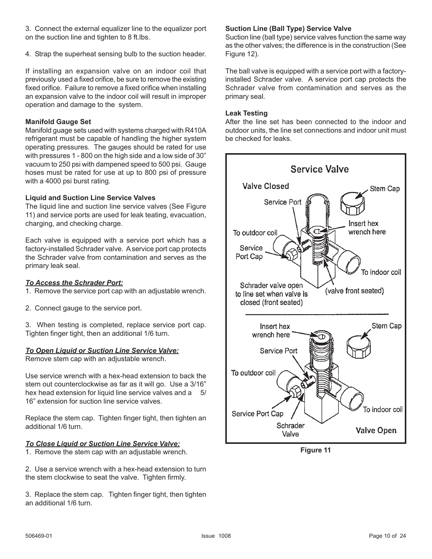3. Connect the external equalizer line to the equalizer port on the suction line and tighten to 8 ft.lbs.

4. Strap the superheat sensing bulb to the suction header.

If installing an expansion valve on an indoor coil that previously used a fixed orifice, be sure to remove the existing fixed orifice. Failure to remove a fixed orifice when installing an expansion valve to the indoor coil will result in improper operation and damage to the system.

#### **Manifold Gauge Set**

Manifold guage sets used with systems charged with R410A refrigerant must be capable of handling the higher system operating pressures. The gauges should be rated for use with pressures 1 - 800 on the high side and a low side of 30" vacuum to 250 psi with dampened speed to 500 psi. Gauge hoses must be rated for use at up to 800 psi of pressure with a 4000 psi burst rating.

#### **Liquid and Suction Line Service Valves**

The liquid line and suction line service valves (See Figure 11) and service ports are used for leak teating, evacuation, charging, and checking charge.

Each valve is equipped with a service port which has a factory-installed Schrader valve. A service port cap protects the Schrader valve from contamination and serves as the primary leak seal.

#### *To Access the Schrader Port:*

1. Remove the service port cap with an adjustable wrench.

2. Connect gauge to the service port.

3. When testing is completed, replace service port cap. Tighten finger tight, then an additional 1/6 turn.

#### *To Open Liquid or Suction Line Service Valve:*

Remove stem cap with an adjustable wrench.

Use service wrench with a hex-head extension to back the stem out counterclockwise as far as it will go. Use a 3/16" hex head extension for liquid line service valves and a 5/ 16" extension for suction line service valves.

Replace the stem cap. Tighten finger tight, then tighten an additional 1/6 turn.

#### *To Close Liquid or Suction Line Service Valve:*

1. Remove the stem cap with an adjustable wrench.

2. Use a service wrench with a hex-head extension to turn the stem clockwise to seat the valve. Tighten firmly.

3. Replace the stem cap. Tighten finger tight, then tighten an additional 1/6 turn.

#### **Suction Line (Ball Type) Service Valve**

Suction line (ball type) service valves function the same way as the other valves; the difference is in the construction (See Figure 12).

The ball valve is equipped with a service port with a factoryinstalled Schrader valve. A service port cap protects the Schrader valve from contamination and serves as the primary seal.

#### **Leak Testing**

After the line set has been connected to the indoor and outdoor units, the line set connections and indoor unit must be checked for leaks.



**Figure 11**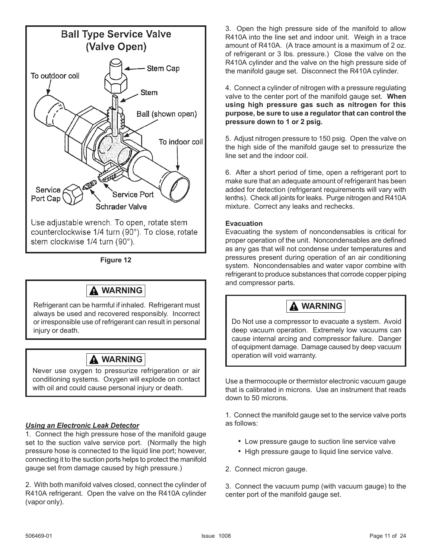

**Figure 12**

### **WARNING**

Refrigerant can be harmful if inhaled. Refrigerant must always be used and recovered responsibly. Incorrect or irresponsible use of refrigerant can result in personal injury or death.



Never use oxygen to pressurize refrigeration or air conditioning systems. Oxygen will explode on contact with oil and could cause personal injury or death.

#### *Using an Electronic Leak Detector*

1. Connect the high pressure hose of the manifold gauge set to the suction valve service port. (Normally the high pressure hose is connected to the liquid line port; however, connecting it to the suction ports helps to protect the manifold gauge set from damage caused by high pressure.)

2. With both manifold valves closed, connect the cylinder of R410A refrigerant. Open the valve on the R410A cylinder (vapor only).

3. Open the high pressure side of the manifold to allow R410A into the line set and indoor unit. Weigh in a trace amount of R410A. (A trace amount is a maximum of 2 oz. of refrigerant or 3 lbs. pressure.) Close the valve on the R410A cylinder and the valve on the high pressure side of the manifold gauge set. Disconnect the R410A cylinder.

4. Connect a cylinder of nitrogen with a pressure regulating valve to the center port of the manifold gauge set. **When using high pressure gas such as nitrogen for this purpose, be sure to use a regulator that can control the pressure down to 1 or 2 psig.**

5. Adjust nitrogen pressure to 150 psig. Open the valve on the high side of the manifold gauge set to pressurize the line set and the indoor coil.

6. After a short period of time, open a refrigerant port to make sure that an adequate amount of refrigerant has been added for detection (refrigerant requirements will vary with lenths). Check all joints for leaks. Purge nitrogen and R410A mixture. Correct any leaks and rechecks.

#### **Evacuation**

Evacuating the system of noncondensables is critical for proper operation of the unit. Noncondensables are defined as any gas that will not condense under temperatures and pressures present during operation of an air conditioning system. Noncondensables and water vapor combine with refrigerant to produce substances that corrode copper piping and compressor parts.

### **WARNING**

Do Not use a compressor to evacuate a system. Avoid deep vacuum operation. Extremely low vacuums can cause internal arcing and compressor failure. Danger of equipment damage. Damage caused by deep vacuum operation will void warranty.

Use a thermocouple or thermistor electronic vacuum gauge that is calibrated in microns. Use an instrument that reads down to 50 microns.

1. Connect the manifold gauge set to the service valve ports as follows:

- Low pressure gauge to suction line service valve
- High pressure gauge to liquid line service valve.
- 2. Connect micron gauge.

3. Connect the vacuum pump (with vacuum gauge) to the center port of the manifold gauge set.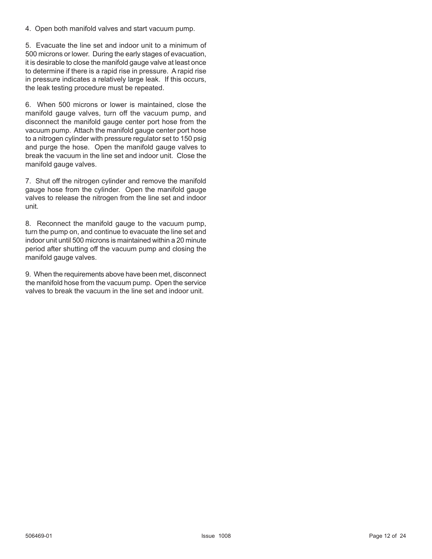4. Open both manifold valves and start vacuum pump.

5. Evacuate the line set and indoor unit to a minimum of 500 microns or lower. During the early stages of evacuation, it is desirable to close the manifold gauge valve at least once to determine if there is a rapid rise in pressure. A rapid rise in pressure indicates a relatively large leak. If this occurs, the leak testing procedure must be repeated.

6. When 500 microns or lower is maintained, close the manifold gauge valves, turn off the vacuum pump, and disconnect the manifold gauge center port hose from the vacuum pump. Attach the manifold gauge center port hose to a nitrogen cylinder with pressure regulator set to 150 psig and purge the hose. Open the manifold gauge valves to break the vacuum in the line set and indoor unit. Close the manifold gauge valves.

7. Shut off the nitrogen cylinder and remove the manifold gauge hose from the cylinder. Open the manifold gauge valves to release the nitrogen from the line set and indoor unit.

8. Reconnect the manifold gauge to the vacuum pump, turn the pump on, and continue to evacuate the line set and indoor unit until 500 microns is maintained within a 20 minute period after shutting off the vacuum pump and closing the manifold gauge valves.

9. When the requirements above have been met, disconnect the manifold hose from the vacuum pump. Open the service valves to break the vacuum in the line set and indoor unit.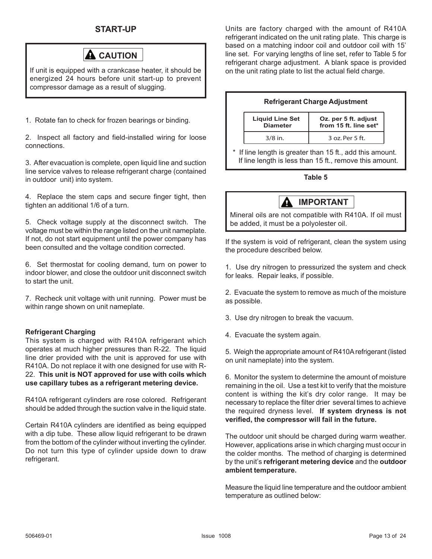#### **START-UP**



If unit is equipped with a crankcase heater, it should be energized 24 hours before unit start-up to prevent compressor damage as a result of slugging.

1. Rotate fan to check for frozen bearings or binding.

2. Inspect all factory and field-installed wiring for loose connections.

3. After evacuation is complete, open liquid line and suction line service valves to release refrigerant charge (contained in outdoor unit) into system.

4. Replace the stem caps and secure finger tight, then tighten an additional 1/6 of a turn.

5. Check voltage supply at the disconnect switch. The voltage must be within the range listed on the unit nameplate. If not, do not start equipment until the power company has been consulted and the voltage condition corrected.

6. Set thermostat for cooling demand, turn on power to indoor blower, and close the outdoor unit disconnect switch to start the unit.

7. Recheck unit voltage with unit running. Power must be within range shown on unit nameplate.

#### **Refrigerant Charging**

This system is charged with R410A refrigerant which operates at much higher pressures than R-22. The liquid line drier provided with the unit is approved for use with R410A. Do not replace it with one designed for use with R-22. **This unit is NOT approved for use with coils which use capillary tubes as a refrigerant metering device.**

R410A refrigerant cylinders are rose colored. Refrigerant should be added through the suction valve in the liquid state.

Certain R410A cylinders are identified as being equipped with a dip tube. These allow liquid refrigerant to be drawn from the bottom of the cylinder without inverting the cylinder. Do not turn this type of cylinder upside down to draw refrigerant.

Units are factory charged with the amount of R410A refrigerant indicated on the unit rating plate. This charge is based on a matching indoor coil and outdoor coil with 15' line set. For varying lengths of line set, refer to Table 5 for refrigerant charge adjustment. A blank space is provided on the unit rating plate to list the actual field charge.

#### **Refrigerant Charge Adjustment**

| <b>Liquid Line Set</b> | Oz. per 5 ft. adjust  |
|------------------------|-----------------------|
| <b>Diameter</b>        | from 15 ft. line set* |
| $3/8$ in.              | 3 oz. Per 5 ft.       |

If line length is greater than 15 ft., add this amount. If line length is less than 15 ft., remove this amount.

#### **Table 5**



Mineral oils are not compatible with R410A. If oil must be added, it must be a polyolester oil.

If the system is void of refrigerant, clean the system using the procedure described below.

1. Use dry nitrogen to pressurized the system and check for leaks. Repair leaks, if possible.

2. Evacuate the system to remove as much of the moisture as possible.

- 3. Use dry nitrogen to break the vacuum.
- 4. Evacuate the system again.

5. Weigh the appropriate amount of R410A refrigerant (listed on unit nameplate) into the system.

6. Monitor the system to determine the amount of moisture remaining in the oil. Use a test kit to verify that the moisture content is withing the kit's dry color range. It may be necessary to replace the filter drier several times to achieve the required dryness level. **If system dryness is not verified, the compressor will fail in the future.**

The outdoor unit should be charged during warm weather. However, applications arise in which charging must occur in the colder months. The method of charging is determined by the unit's **refrigerant metering device** and the **outdoor ambient temperature.**

Measure the liquid line temperature and the outdoor ambient temperature as outlined below: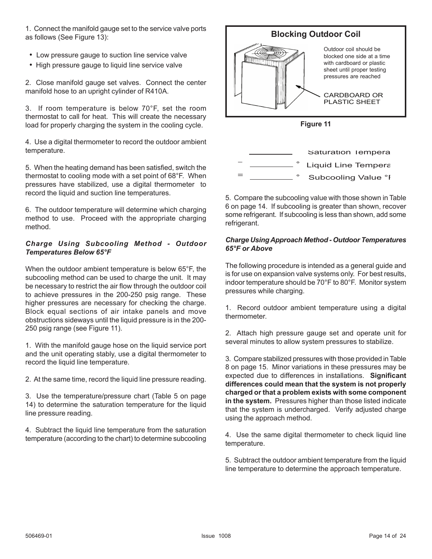1. Connect the manifold gauge set to the service valve ports as follows (See Figure 13):

- Low pressure gauge to suction line service valve
- High pressure gauge to liquid line service valve

2. Close manifold gauge set valves. Connect the center manifold hose to an upright cylinder of R410A.

3. If room temperature is below 70°F, set the room thermostat to call for heat. This will create the necessary load for properly charging the system in the cooling cycle.

4. Use a digital thermometer to record the outdoor ambient temperature.

5. When the heating demand has been satisfied, switch the thermostat to cooling mode with a set point of 68°F. When pressures have stabilized, use a digital thermometer to record the liquid and suction line temperatures.

6. The outdoor temperature will determine which charging method to use. Proceed with the appropriate charging method.

#### *Charge Using Subcooling Method - Outdoor Temperatures Below 65°F*

When the outdoor ambient temperature is below 65°F, the subcooling method can be used to charge the unit. It may be necessary to restrict the air flow through the outdoor coil to achieve pressures in the 200-250 psig range. These higher pressures are necessary for checking the charge. Block equal sections of air intake panels and move obstructions sideways until the liquid pressure is in the 200- 250 psig range (see Figure 11).

1. With the manifold gauge hose on the liquid service port and the unit operating stably, use a digital thermometer to record the liquid line temperature.

2. At the same time, record the liquid line pressure reading.

3. Use the temperature/pressure chart (Table 5 on page 14) to determine the saturation temperature for the liquid line pressure reading.

4. Subtract the liquid line temperature from the saturation temperature (according to the chart) to determine subcooling





5. Compare the subcooling value with those shown in Table 6 on page 14. If subcooling is greater than shown, recover some refrigerant. If subcooling is less than shown, add some refrigerant.

#### *Charge Using Approach Method - Outdoor Temperatures 65°F or Above*

The following procedure is intended as a general guide and is for use on expansion valve systems only. For best results, indoor temperature should be 70°F to 80°F. Monitor system pressures while charging.

1. Record outdoor ambient temperature using a digital thermometer.

2. Attach high pressure gauge set and operate unit for several minutes to allow system pressures to stabilize.

3. Compare stabilized pressures with those provided in Table 8 on page 15. Minor variations in these pressures may be expected due to differences in installations. **Significant differences could mean that the system is not properly charged or that a problem exists with some component in the system.** Pressures higher than those listed indicate that the system is undercharged. Verify adjusted charge using the approach method.

4. Use the same digital thermometer to check liquid line temperature.

5. Subtract the outdoor ambient temperature from the liquid line temperature to determine the approach temperature.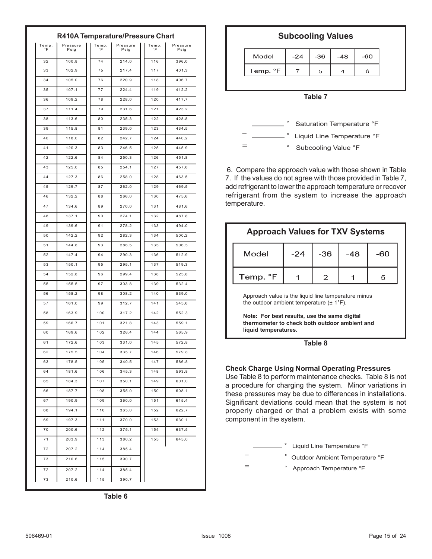|             | R410A Temperature/Pressure Chart |             |                  |             |                  |  |  |  |  |
|-------------|----------------------------------|-------------|------------------|-------------|------------------|--|--|--|--|
| Temp.<br>۰F | Pressure<br>Psig                 | Temp.<br>°F | Pressure<br>Psig | Temp.<br>°F | Pressure<br>Psig |  |  |  |  |
| 32          | 100.8                            | 74          | 214.0            | 116         | 396.0            |  |  |  |  |
| 33          | 102.9                            | 75          | 217.4            | 117         | 401.3            |  |  |  |  |
| 34          | 105.0                            | 76          | 220.9            | 118         | 406.7            |  |  |  |  |
| 35          | 107.1                            | 77          | 224.4            | 119         | 412.2            |  |  |  |  |
| 36          | 109.2                            | 78          | 228.0            | 120         | 417.7            |  |  |  |  |
| 37          | 111.4                            | 79          | 231.6            | 121         | 423.2            |  |  |  |  |
| 38          | 113.6                            | 80          | 235.3            | 122         | 428.8            |  |  |  |  |
| 39          | 115.8                            | 81          | 239.0            | 123         | 434.5            |  |  |  |  |
| 40          | 118.0                            | 82          | 242.7            | 124         | 440.2            |  |  |  |  |
| 41          | 120.3                            | 83          | 246.5            | 125         | 445.9            |  |  |  |  |
| 42          | 122.6                            | 84          | 250.3            | 126         | 451.8            |  |  |  |  |
| 43          | 125.0                            | 85          | 254.1            | 127         | 457.6            |  |  |  |  |
| 44          | 127.3                            | 86          | 258.0            | 128         | 463.5            |  |  |  |  |
| 45          | 129.7                            | 87          | 262.0            | 129         | 469.5            |  |  |  |  |
| 46          | 132.2                            | 88          | 266.0            | 130         | 475.6            |  |  |  |  |
| 47          | 134.6                            | 89          | 270.0            | 131         | 481.6            |  |  |  |  |
| 48          | 137.1                            | 90          | 274.1            | 132         | 487.8            |  |  |  |  |
| 49          | 139.6                            | 91          | 278.2            | 133         | 494.0            |  |  |  |  |
| 50          | 142.2                            | 92          | 282.3            | 134         | 500.2            |  |  |  |  |
| 51          | 144.8                            | 93          | 286.5            | 135         | 506.5            |  |  |  |  |
| 52          | 147.4                            | 94          | 290.3            | 136         | 512.9            |  |  |  |  |
| 53          | 150.1                            | 95          | 295.1            | 137         | 519.3            |  |  |  |  |
| 54          | 152.8                            | 96          | 299.4            | 138         | 525.8            |  |  |  |  |
| 55          | 155.5                            | 97          | 303.8            | 139         | 532.4            |  |  |  |  |
| 56          | 158.2                            | 98          | 308.2            | 140         | 539.0            |  |  |  |  |
| 57          | 161.0                            | 99          | 312.7            | 141         | 545.6            |  |  |  |  |
| 58          | 163.9                            | 100         | 317.2            | 142         | 552.3            |  |  |  |  |
| 59          | 166.7                            | 101         | 321.8            | 143         | 559.1            |  |  |  |  |
| 60          | 169.6                            | 102         | 326.4            | 144         | 565.9            |  |  |  |  |
| 61          | 172.6                            | 103         | 331.0            | 145         | 572.8            |  |  |  |  |
| 62          | 175.5                            | 104         | 335.7            | 146         | 579.8            |  |  |  |  |
| 63          | 178.5                            | 105         | 340.5            | 147         | 586.8            |  |  |  |  |
| 64          | 181.6                            | 106         | 345.3            | 148         | 593.8            |  |  |  |  |
| 65          | 184.3                            | 107         | 350.1            | 149         | 601.0            |  |  |  |  |
| 66          | 187.7                            | 108         | 355.0            | 150         | 608.1            |  |  |  |  |
| 67          | 190.9                            | 109         | 360.0            | 151         | 615.4            |  |  |  |  |
| 68          | 194.1                            | 110         | 365.0            | 152         | 622.7            |  |  |  |  |
| 69          | 197.3                            | 111         | 370.0            | 153         | 630.1            |  |  |  |  |
| 70          | 200.6                            | 112         | 375.1            | 154         | 637.5            |  |  |  |  |
| 71          | 203.9                            | 113         | 380.2            | 155         | 645.0            |  |  |  |  |
| 72          | 207.2                            | 114         | 385.4            |             |                  |  |  |  |  |
| 73          | 210.6                            | 115         | 390.7            |             |                  |  |  |  |  |
| 72          | 207.2                            | 114         | 385.4            |             |                  |  |  |  |  |
| 73          | 210.6                            | 115         | 390.7            |             |                  |  |  |  |  |

**Subcooling Values**

| Model    | $-24$ | $-36$ | $-48$ | -60 |
|----------|-------|-------|-------|-----|
| Temp. °F |       |       |       |     |

**Table 7**



 6. Compare the approach value with those shown in Table 7. If the values do not agree with those provided in Table 7, add refrigerant to lower the approach temperature or recover refrigerant from the system to increase the approach temperature.

| Model    | $-24$ | $-36$ | -48 | -60 |
|----------|-------|-------|-----|-----|
| Temp. °F |       |       |     | д   |

Approach value is the liquid line temperature minus the outdoor ambient temperature  $(\pm 1^{\circ}F)$ .

**Note: For best results, use the same digital thermometer to check both outdoor ambient and liquid temperatures.**

**Table 8**

#### **Check Charge Using Normal Operating Pressures**

Use Table 8 to perform maintenance checks. Table 8 is not a procedure for charging the system. Minor variations in these pressures may be due to differences in installations. Significant deviations could mean that the system is not properly charged or that a problem exists with some component in the system.



**Table 6**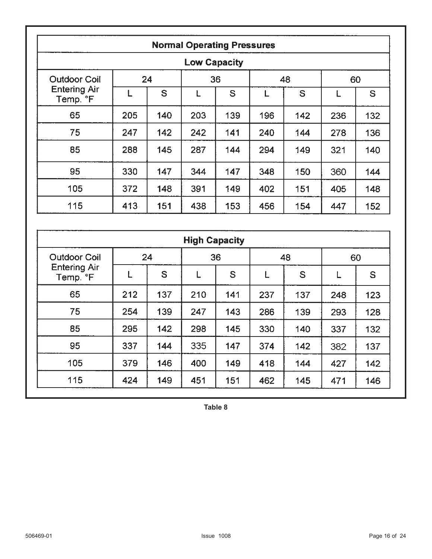|                                 | <b>Normal Operating Pressures</b> |     |     |     |     |     |     |     |  |  |
|---------------------------------|-----------------------------------|-----|-----|-----|-----|-----|-----|-----|--|--|
|                                 | <b>Low Capacity</b>               |     |     |     |     |     |     |     |  |  |
| <b>Outdoor Coil</b>             |                                   | 24  |     | 36  |     | 48  |     | 60  |  |  |
| <b>Entering Air</b><br>Temp. °F |                                   | S   |     | S   | L   | S   | L   | S   |  |  |
| 65                              | 205                               | 140 | 203 | 139 | 196 | 142 | 236 | 132 |  |  |
| 75                              | 247                               | 142 | 242 | 141 | 240 | 144 | 278 | 136 |  |  |
| 85                              | 288                               | 145 | 287 | 144 | 294 | 149 | 321 | 140 |  |  |
| 95                              | 330                               | 147 | 344 | 147 | 348 | 150 | 360 | 144 |  |  |
| 105                             | 372                               | 148 | 391 | 149 | 402 | 151 | 405 | 148 |  |  |
| 115                             | 413                               | 151 | 438 | 153 | 456 | 154 | 447 | 152 |  |  |

|                                 |     |     | <b>High Capacity</b> |     |     |     |     |     |
|---------------------------------|-----|-----|----------------------|-----|-----|-----|-----|-----|
| <b>Outdoor Coil</b>             | 24  |     | 36                   |     | 48  |     | 60  |     |
| <b>Entering Air</b><br>Temp. °F | Ĺ   | S   |                      | S   | L   | S   |     | S   |
| 65                              | 212 | 137 | 210                  | 141 | 237 | 137 | 248 | 123 |
| 75                              | 254 | 139 | 247                  | 143 | 286 | 139 | 293 | 128 |
| 85                              | 295 | 142 | 298                  | 145 | 330 | 140 | 337 | 132 |
| 95                              | 337 | 144 | 335                  | 147 | 374 | 142 | 382 | 137 |
| 105                             | 379 | 146 | 400                  | 149 | 418 | 144 | 427 | 142 |
| 115                             | 424 | 149 | 451                  | 151 | 462 | 145 | 471 | 146 |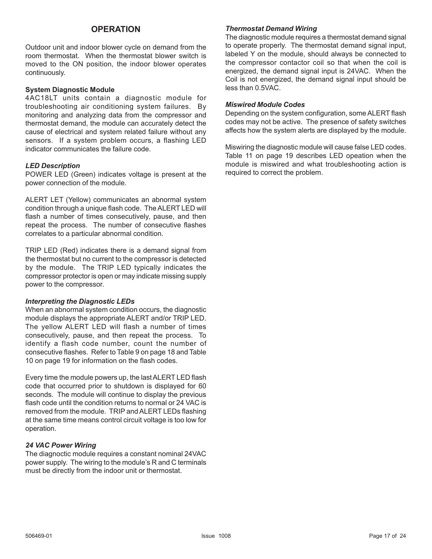#### **OPERATION**

Outdoor unit and indoor blower cycle on demand from the room thermostat. When the thermostat blower switch is moved to the ON position, the indoor blower operates continuously.

#### **System Diagnostic Module**

4AC18LT units contain a diagnostic module for troubleshooting air conditioning system failures. By monitoring and analyzing data from the compressor and thermostat demand, the module can accurately detect the cause of electrical and system related failure without any sensors. If a system problem occurs, a flashing LED indicator communicates the failure code.

#### *LED Description*

POWER LED (Green) indicates voltage is present at the power connection of the module.

ALERT LET (Yellow) communicates an abnormal system condition through a unique flash code. The ALERT LED will flash a number of times consecutively, pause, and then repeat the process. The number of consecutive flashes correlates to a particular abnormal condition.

TRIP LED (Red) indicates there is a demand signal from the thermostat but no current to the compressor is detected by the module. The TRIP LED typically indicates the compressor protector is open or may indicate missing supply power to the compressor.

#### *Interpreting the Diagnostic LEDs*

When an abnormal system condition occurs, the diagnostic module displays the appropriate ALERT and/or TRIP LED. The yellow ALERT LED will flash a number of times consecutively, pause, and then repeat the process. To identify a flash code number, count the number of consecutive flashes. Refer to Table 9 on page 18 and Table 10 on page 19 for information on the flash codes.

Every time the module powers up, the last ALERT LED flash code that occurred prior to shutdown is displayed for 60 seconds. The module will continue to display the previous flash code until the condition returns to normal or 24 VAC is removed from the module. TRIP and ALERT LEDs flashing at the same time means control circuit voltage is too low for operation.

#### *24 VAC Power Wiring*

The diagnoctic module requires a constant nominal 24VAC power supply. The wiring to the module's R and C terminals must be directly from the indoor unit or thermostat.

#### *Thermostat Demand Wiring*

The diagnostic module requires a thermostat demand signal to operate properly. The thermostat demand signal input, labeled Y on the module, should always be connected to the compressor contactor coil so that when the coil is energized, the demand signal input is 24VAC. When the Coil is not energized, the demand signal input should be less than 0.5VAC.

#### *Miswired Module Codes*

Depending on the system configuration, some ALERT flash codes may not be active. The presence of safety switches affects how the system alerts are displayed by the module.

Miswiring the diagnostic module will cause false LED codes. Table 11 on page 19 describes LED opeation when the module is miswired and what troubleshooting action is required to correct the problem.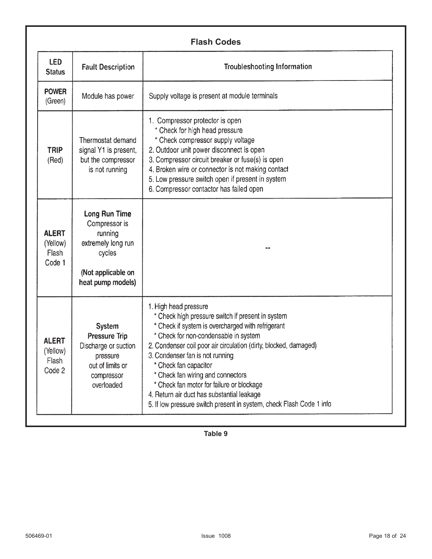| <b>LED</b><br><b>Status</b>                        | <b>Fault Description</b>                                                                                                  | <b>Troubleshooting Information</b>                                                                                                                                                                                                                                                                                                                                                                                                                                                                               |
|----------------------------------------------------|---------------------------------------------------------------------------------------------------------------------------|------------------------------------------------------------------------------------------------------------------------------------------------------------------------------------------------------------------------------------------------------------------------------------------------------------------------------------------------------------------------------------------------------------------------------------------------------------------------------------------------------------------|
| <b>POWER</b><br>(Green)                            | Module has power                                                                                                          | Supply voltage is present at module terminals                                                                                                                                                                                                                                                                                                                                                                                                                                                                    |
| <b>TRIP</b><br>(Red)                               | Thermostat demand<br>signal Y1 is present,<br>but the compressor<br>is not running                                        | 1. Compressor protector is open<br>* Check for high head pressure<br>* Check compressor supply voltage<br>2. Outdoor unit power disconnect is open<br>3. Compressor circuit breaker or fuse(s) is open<br>4. Broken wire or connector is not making contact<br>5. Low pressure switch open if present in system<br>6. Compressor contactor has failed open                                                                                                                                                       |
| <b>ALERT</b><br>(Yellow)<br><b>Flash</b><br>Code 1 | Long Run Time<br>Compressor is<br>running<br>extremely long run<br>cycles<br>(Not applicable on<br>heat pump models)      |                                                                                                                                                                                                                                                                                                                                                                                                                                                                                                                  |
| <b>ALERT</b><br>(Yellow)<br>Flash<br>Code 2        | <b>System</b><br><b>Pressure Trip</b><br>Discharge or suction<br>pressure<br>out of limits or<br>compressor<br>overloaded | 1. High head pressure<br>* Check high pressure switch if present in system<br>* Check if system is overcharged with refrigerant<br>* Check for non-condensable in system<br>2. Condenser coil poor air circulation (dirty, blocked, damaged)<br>3. Condenser fan is not running<br>* Check fan capacitor<br>* Check fan wiring and connectors<br>* Check fan motor for failure or blockage<br>4. Return air duct has substantial leakage<br>5. If low pressure switch present in system, check Flash Code 1 info |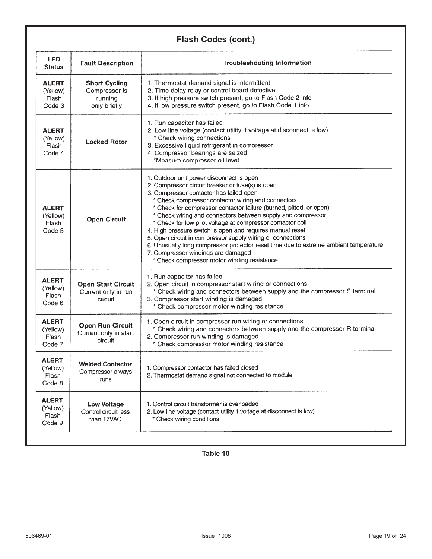### **Flash Codes (cont.)**

| <b>LED</b><br><b>Status</b>                 | <b>Fault Description</b>                                         | <b>Troubleshooting Information</b>                                                                                                                                                                                                                                                                                                                                                                                                                                                                                                                                                                                                                                                                       |
|---------------------------------------------|------------------------------------------------------------------|----------------------------------------------------------------------------------------------------------------------------------------------------------------------------------------------------------------------------------------------------------------------------------------------------------------------------------------------------------------------------------------------------------------------------------------------------------------------------------------------------------------------------------------------------------------------------------------------------------------------------------------------------------------------------------------------------------|
| <b>ALERT</b><br>(Yellow)<br>Flash<br>Code 3 | <b>Short Cycling</b><br>Compressor is<br>running<br>only briefly | 1. Thermostat demand signal is intermittent<br>2. Time delay relay or control board defective<br>3. If high pressure switch present, go to Flash Code 2 info<br>4. If low pressure switch present, go to Flash Code 1 info                                                                                                                                                                                                                                                                                                                                                                                                                                                                               |
| <b>ALERT</b><br>(Yellow)<br>Flash<br>Code 4 | <b>Locked Rotor</b>                                              | 1. Run capacitor has failed<br>2. Low line voltage (contact utility if voltage at disconnect is low)<br>* Check wiring connections<br>3. Excessive liquid refrigerant in compressor<br>4. Compressor bearings are seized<br>*Measure compressor oil level                                                                                                                                                                                                                                                                                                                                                                                                                                                |
| <b>ALERT</b><br>(Yellow)<br>Flash<br>Code 5 | <b>Open Circuit</b>                                              | 1. Outdoor unit power disconnect is open<br>2. Compressor circuit breaker or fuse(s) is open<br>3. Compressor contactor has failed open<br>* Check compressor contactor wiring and connectors<br>* Check for compressor contactor failure (burned, pitted, or open)<br>* Check wiring and connectors between supply and compressor<br>* Check for low pilot voltage at compressor contactor coil<br>4. High pressure switch is open and requires manual reset<br>5. Open circuit in compressor supply wiring or connections<br>6. Unusually long compressor protector reset time due to extreme ambient temperature<br>7. Compressor windings are damaged<br>* Check compressor motor winding resistance |
| <b>ALERT</b><br>(Yellow)<br>Flash<br>Code 6 | <b>Open Start Circuit</b><br>Current only in run<br>circuit      | 1. Run capacitor has failed<br>2. Open circuit in compressor start wiring or connections<br>* Check wiring and connectors between supply and the compressor S terminal<br>3. Compressor start winding is damaged<br>* Check compressor motor winding resistance                                                                                                                                                                                                                                                                                                                                                                                                                                          |
| <b>ALERT</b><br>(Yellow)<br>Flash<br>Code 7 | <b>Open Run Circuit</b><br>Current only in start<br>circuit      | 1. Open circuit in compressor run wiring or connections<br>* Check wiring and connectors between supply and the compressor R terminal<br>2. Compressor run winding is damaged<br>* Check compressor motor winding resistance                                                                                                                                                                                                                                                                                                                                                                                                                                                                             |
| <b>ALERT</b><br>(Yellow)<br>Flash<br>Code 8 | <b>Welded Contactor</b><br>Compressor always<br>runs             | 1. Compressor contactor has failed closed<br>2. Thermostat demand signal not connected to module                                                                                                                                                                                                                                                                                                                                                                                                                                                                                                                                                                                                         |
| <b>ALERT</b><br>(Yellow)<br>Flash<br>Code 9 | <b>Low Voltage</b><br>Control circuit less<br>than 17VAC         | 1. Control circuit transformer is overloaded<br>2. Low line voltage (contact utility if voltage at disconnect is low)<br>* Check wiring conditions                                                                                                                                                                                                                                                                                                                                                                                                                                                                                                                                                       |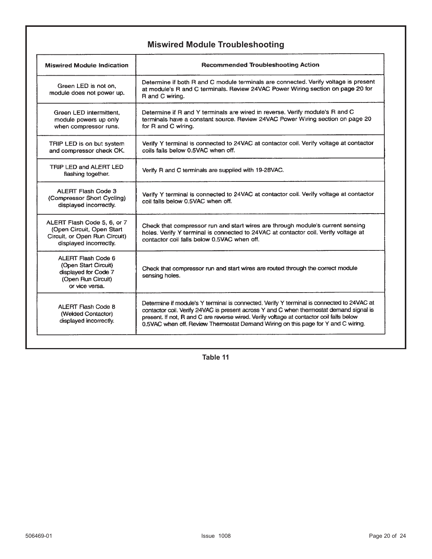|  | <b>Miswired Module Troubleshooting</b> |
|--|----------------------------------------|
|--|----------------------------------------|

| <b>Miswired Module Indication</b>                                                                                   | <b>Recommended Troubleshooting Action</b>                                                                                                                                                                                                                                                                                                                             |  |
|---------------------------------------------------------------------------------------------------------------------|-----------------------------------------------------------------------------------------------------------------------------------------------------------------------------------------------------------------------------------------------------------------------------------------------------------------------------------------------------------------------|--|
| Green LED is not on.<br>module does not power up.                                                                   | Determine if both R and C module terminals are connected. Verify voltage is present<br>at module's R and C terminals. Review 24VAC Power Wiring section on page 20 for<br>R and C wiring.                                                                                                                                                                             |  |
| Green LED intermittent,<br>module powers up only<br>when compressor runs.                                           | Determine if R and Y terminals are wired in reverse. Verify module's R and C<br>terminals have a constant source. Review 24VAC Power Wiring section on page 20<br>for R and C wiring.                                                                                                                                                                                 |  |
| TRIP LED is on but system<br>and compressor check OK.                                                               | Verify Y terminal is connected to 24VAC at contactor coil. Verify voltage at contactor<br>coils falls below 0.5VAC when off.                                                                                                                                                                                                                                          |  |
| TRIP LED and ALERT LED<br>flashing together.                                                                        | Verify R and C terminals are supplied with 19-28VAC.                                                                                                                                                                                                                                                                                                                  |  |
| ALERT Flash Code 3<br>(Compressor Short Cycling)<br>displayed incorrectly.                                          | Verify Y terminal is connected to 24VAC at contactor coil. Verify voltage at contactor<br>coil falls below 0.5VAC when off.                                                                                                                                                                                                                                           |  |
| ALERT Flash Code 5, 6, or 7<br>(Open Circuit, Open Start<br>Circuit, or Open Run Circuit)<br>displayed incorrectly. | Check that compressor run and start wires are through module's current sensing<br>holes. Verify Y terminal is connected to 24VAC at contactor coil. Verify voltage at<br>contactor coil falls below 0.5VAC when off.                                                                                                                                                  |  |
| ALERT Flash Code 6<br>(Open Start Circuit)<br>displayed for Code 7<br>(Open Run Circuit)<br>or vice versa.          | Check that compressor run and start wires are routed through the correct module<br>sensing holes.                                                                                                                                                                                                                                                                     |  |
| <b>ALERT Flash Code 8</b><br>(Welded Contactor)<br>displayed incorrectly.                                           | Determine if module's Y terminal is connected. Verify Y terminal is connected to 24VAC at<br>contactor coil. Verify 24VAC is present across Y and C when thermostat demand signal is<br>present. If not, R and C are reverse wired. Verify voltage at contactor coil falls below<br>0.5VAC when off. Review Thermostat Demand Wiring on this page for Y and C wiring. |  |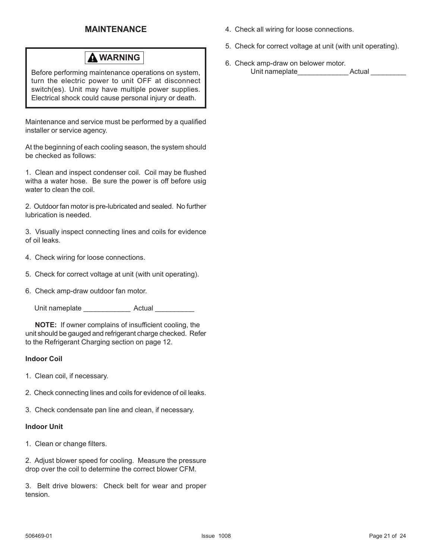#### **MAINTENANCE**

### **WARNING**

Before performing maintenance operations on system, turn the electric power to unit OFF at disconnect switch(es). Unit may have multiple power supplies. Electrical shock could cause personal injury or death.

Maintenance and service must be performed by a qualified installer or service agency.

At the beginning of each cooling season, the system should be checked as follows:

1. Clean and inspect condenser coil. Coil may be flushed witha a water hose. Be sure the power is off before usig water to clean the coil.

2. Outdoor fan motor is pre-lubricated and sealed. No further lubrication is needed.

3. Visually inspect connecting lines and coils for evidence of oil leaks.

- 4. Check wiring for loose connections.
- 5. Check for correct voltage at unit (with unit operating).
- 6. Check amp-draw outdoor fan motor.

Unit nameplate **Actual** Actual **Actual** 

 **NOTE:** If owner complains of insufficient cooling, the unit should be gauged and refrigerant charge checked. Refer to the Refrigerant Charging section on page 12.

#### **Indoor Coil**

- 1. Clean coil, if necessary.
- 2. Check connecting lines and coils for evidence of oil leaks.
- 3. Check condensate pan line and clean, if necessary.

#### **Indoor Unit**

1. Clean or change filters.

2. Adjust blower speed for cooling. Measure the pressure drop over the coil to determine the correct blower CFM.

3. Belt drive blowers: Check belt for wear and proper tension.

- 4. Check all wiring for loose connections.
- 5. Check for correct voltage at unit (with unit operating).
- 6. Check amp-draw on belower motor. Unit nameplate The Actual Actual Actual Actual Actual Actual Actual Actual Actual Actual Actual Actual Actual Actual Actual Actual Actual Actual Actual Actual Actual Actual Actual Actual Actual Actual Actual Actual Actual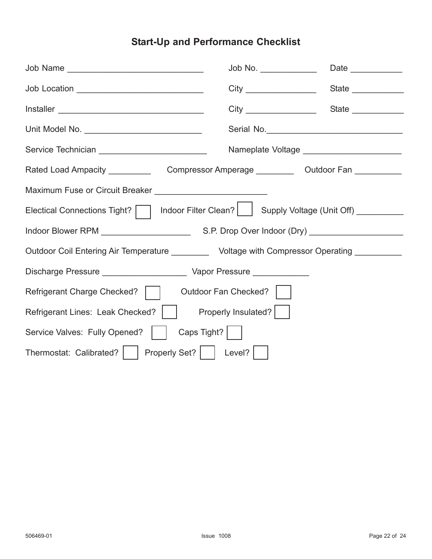## **Start-Up and Performance Checklist**

|                                                                                                | Job No. ______________ |                                             |  |  |  |
|------------------------------------------------------------------------------------------------|------------------------|---------------------------------------------|--|--|--|
| Job Location ________________________________                                                  |                        |                                             |  |  |  |
|                                                                                                |                        |                                             |  |  |  |
| Unit Model No. __________________________________                                              |                        |                                             |  |  |  |
|                                                                                                |                        | Nameplate Voltage _________________________ |  |  |  |
| Rated Load Ampacity _________________Compressor Amperage _____________Outdoor Fan ____________ |                        |                                             |  |  |  |
| Maximum Fuse or Circuit Breaker _______________________________                                |                        |                                             |  |  |  |
| Electical Connections Tight?     Indoor Filter Clean?     Supply Voltage (Unit Off) _________  |                        |                                             |  |  |  |
|                                                                                                |                        |                                             |  |  |  |
| Outdoor Coil Entering Air Temperature __________ Voltage with Compressor Operating _________   |                        |                                             |  |  |  |
|                                                                                                |                        |                                             |  |  |  |
| Refrigerant Charge Checked?    <br>Outdoor Fan Checked?                                        |                        |                                             |  |  |  |
| Refrigerant Lines: Leak Checked?     Properly Insulated?                                       |                        |                                             |  |  |  |
| Caps Tight?  <br>Service Valves: Fully Opened?                                                 |                        |                                             |  |  |  |
| Thermostat: Calibrated?     Properly Set?     Level?                                           |                        |                                             |  |  |  |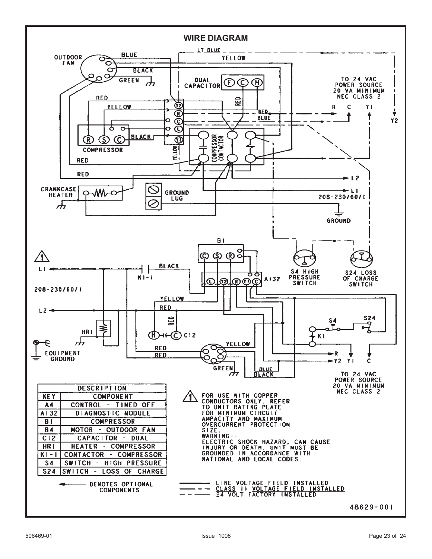